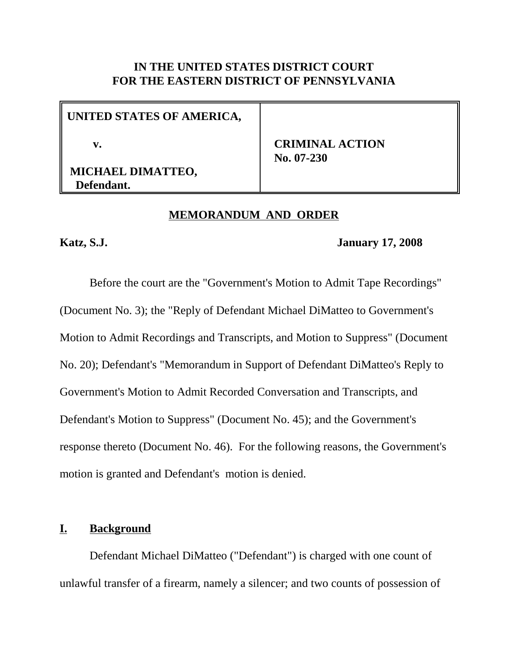# **IN THE UNITED STATES DISTRICT COURT FOR THE EASTERN DISTRICT OF PENNSYLVANIA**

**UNITED STATES OF AMERICA,**

**v.**

**MICHAEL DIMATTEO, Defendant.**

**CRIMINAL ACTION No. 07-230**

# **MEMORANDUM AND ORDER**

#### **Katz, S.J. January 17, 2008**

Before the court are the "Government's Motion to Admit Tape Recordings" (Document No. 3); the "Reply of Defendant Michael DiMatteo to Government's Motion to Admit Recordings and Transcripts, and Motion to Suppress" (Document No. 20); Defendant's "Memorandum in Support of Defendant DiMatteo's Reply to Government's Motion to Admit Recorded Conversation and Transcripts, and Defendant's Motion to Suppress" (Document No. 45); and the Government's response thereto (Document No. 46). For the following reasons, the Government's motion is granted and Defendant's motion is denied.

### **I. Background**

Defendant Michael DiMatteo ("Defendant") is charged with one count of unlawful transfer of a firearm, namely a silencer; and two counts of possession of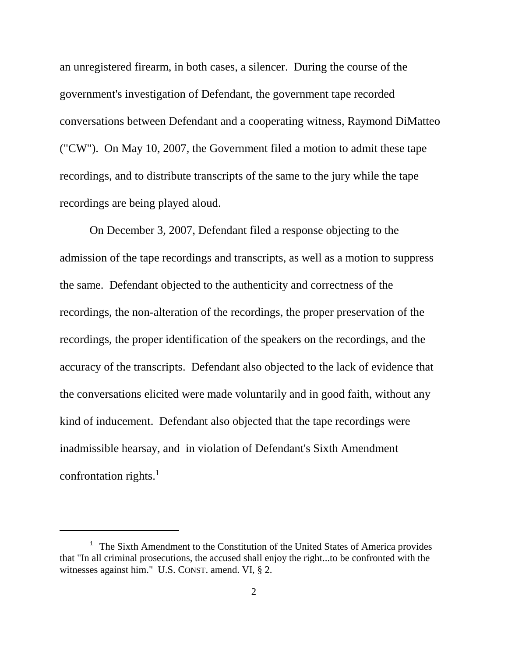an unregistered firearm, in both cases, a silencer. During the course of the government's investigation of Defendant, the government tape recorded conversations between Defendant and a cooperating witness, Raymond DiMatteo ("CW"). On May 10, 2007, the Government filed a motion to admit these tape recordings, and to distribute transcripts of the same to the jury while the tape recordings are being played aloud.

On December 3, 2007, Defendant filed a response objecting to the admission of the tape recordings and transcripts, as well as a motion to suppress the same. Defendant objected to the authenticity and correctness of the recordings, the non-alteration of the recordings, the proper preservation of the recordings, the proper identification of the speakers on the recordings, and the accuracy of the transcripts. Defendant also objected to the lack of evidence that the conversations elicited were made voluntarily and in good faith, without any kind of inducement. Defendant also objected that the tape recordings were inadmissible hearsay, and in violation of Defendant's Sixth Amendment confrontation rights. 1

<sup>&</sup>lt;sup>1</sup> The Sixth Amendment to the Constitution of the United States of America provides that "In all criminal prosecutions, the accused shall enjoy the right...to be confronted with the witnesses against him." U.S. CONST. amend. VI, § 2.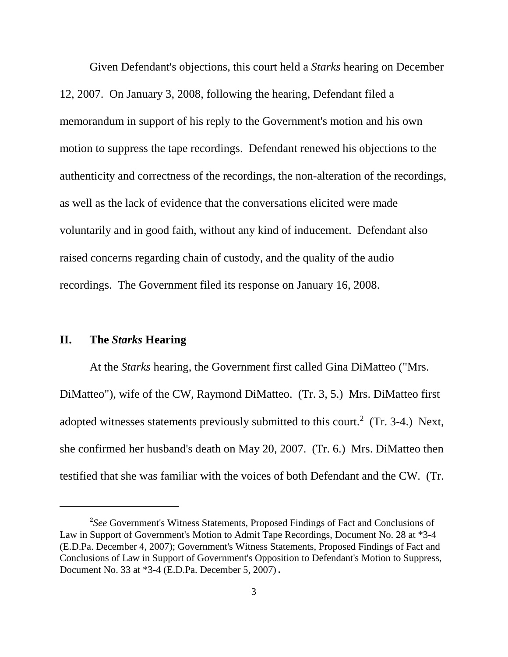Given Defendant's objections, this court held a *Starks* hearing on December 12, 2007. On January 3, 2008, following the hearing, Defendant filed a memorandum in support of his reply to the Government's motion and his own motion to suppress the tape recordings. Defendant renewed his objections to the authenticity and correctness of the recordings, the non-alteration of the recordings, as well as the lack of evidence that the conversations elicited were made voluntarily and in good faith, without any kind of inducement. Defendant also raised concerns regarding chain of custody, and the quality of the audio recordings. The Government filed its response on January 16, 2008.

#### **II. The** *Starks* **Hearing**

At the *Starks* hearing, the Government first called Gina DiMatteo ("Mrs. DiMatteo"), wife of the CW, Raymond DiMatteo. (Tr. 3, 5.) Mrs. DiMatteo first adopted witnesses statements previously submitted to this court.<sup>2</sup> (Tr. 3-4.) Next, she confirmed her husband's death on May 20, 2007. (Tr. 6.) Mrs. DiMatteo then testified that she was familiar with the voices of both Defendant and the CW. (Tr.

<sup>&</sup>lt;sup>2</sup>See Government's Witness Statements, Proposed Findings of Fact and Conclusions of Law in Support of Government's Motion to Admit Tape Recordings, Document No. 28 at \*3-4 (E.D.Pa. December 4, 2007); Government's Witness Statements, Proposed Findings of Fact and Conclusions of Law in Support of Government's Opposition to Defendant's Motion to Suppress, Document No. 33 at \*3-4 (E.D.Pa. December 5, 2007).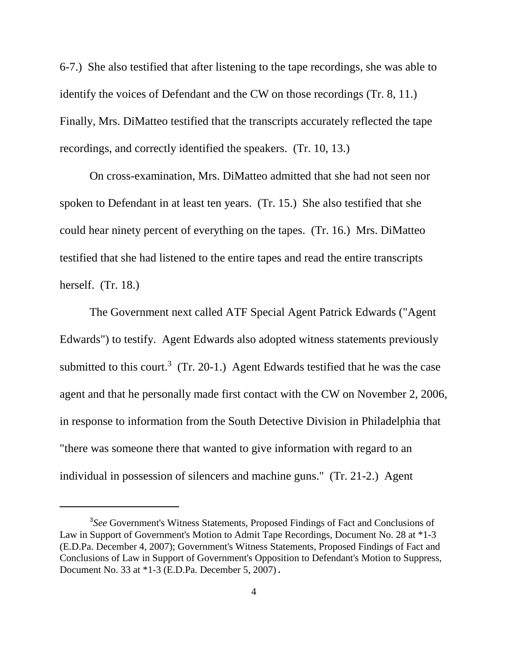6-7.) She also testified that after listening to the tape recordings, she was able to identify the voices of Defendant and the CW on those recordings (Tr. 8, 11.) Finally, Mrs. DiMatteo testified that the transcripts accurately reflected the tape recordings, and correctly identified the speakers. (Tr. 10, 13.)

On cross-examination, Mrs. DiMatteo admitted that she had not seen nor spoken to Defendant in at least ten years. (Tr. 15.) She also testified that she could hear ninety percent of everything on the tapes. (Tr. 16.) Mrs. DiMatteo testified that she had listened to the entire tapes and read the entire transcripts herself. (Tr. 18.)

The Government next called ATF Special Agent Patrick Edwards ("Agent Edwards") to testify. Agent Edwards also adopted witness statements previously submitted to this court.<sup>3</sup> (Tr. 20-1.) Agent Edwards testified that he was the case agent and that he personally made first contact with the CW on November 2, 2006, in response to information from the South Detective Division in Philadelphia that "there was someone there that wanted to give information with regard to an individual in possession of silencers and machine guns." (Tr. 21-2.) Agent

<sup>&</sup>lt;sup>3</sup>See Government's Witness Statements, Proposed Findings of Fact and Conclusions of Law in Support of Government's Motion to Admit Tape Recordings, Document No. 28 at \*1-3 (E.D.Pa. December 4, 2007); Government's Witness Statements, Proposed Findings of Fact and Conclusions of Law in Support of Government's Opposition to Defendant's Motion to Suppress, Document No. 33 at \*1-3 (E.D.Pa. December 5, 2007).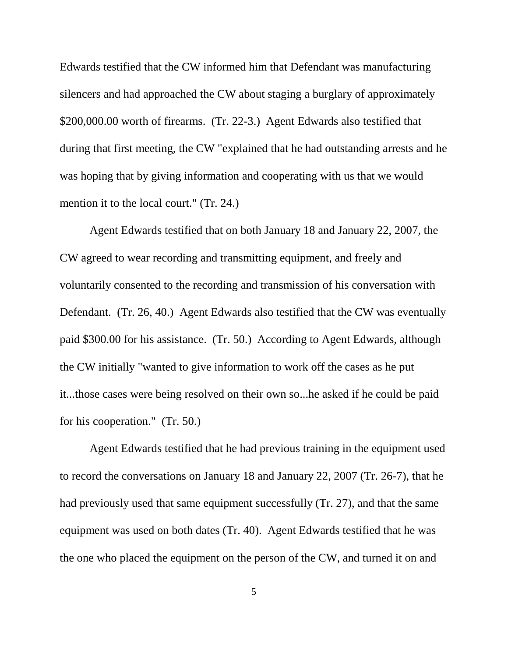Edwards testified that the CW informed him that Defendant was manufacturing silencers and had approached the CW about staging a burglary of approximately \$200,000.00 worth of firearms. (Tr. 22-3.) Agent Edwards also testified that during that first meeting, the CW "explained that he had outstanding arrests and he was hoping that by giving information and cooperating with us that we would mention it to the local court." (Tr. 24.)

Agent Edwards testified that on both January 18 and January 22, 2007, the CW agreed to wear recording and transmitting equipment, and freely and voluntarily consented to the recording and transmission of his conversation with Defendant. (Tr. 26, 40.) Agent Edwards also testified that the CW was eventually paid \$300.00 for his assistance. (Tr. 50.) According to Agent Edwards, although the CW initially "wanted to give information to work off the cases as he put it...those cases were being resolved on their own so...he asked if he could be paid for his cooperation." (Tr. 50.)

Agent Edwards testified that he had previous training in the equipment used to record the conversations on January 18 and January 22, 2007 (Tr. 26-7), that he had previously used that same equipment successfully (Tr. 27), and that the same equipment was used on both dates (Tr. 40). Agent Edwards testified that he was the one who placed the equipment on the person of the CW, and turned it on and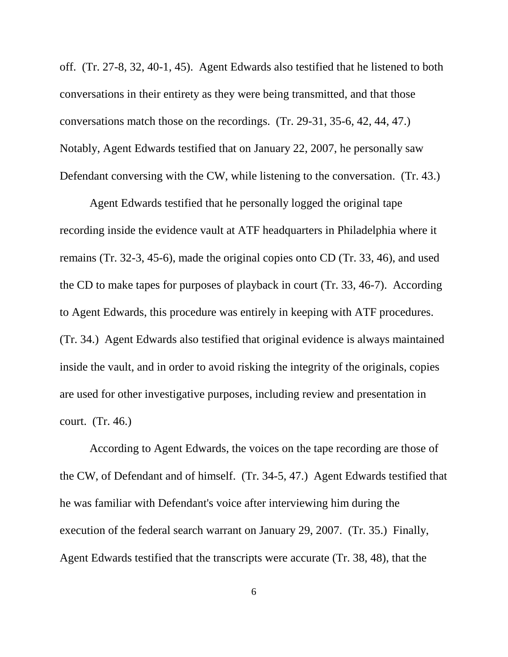off. (Tr. 27-8, 32, 40-1, 45). Agent Edwards also testified that he listened to both conversations in their entirety as they were being transmitted, and that those conversations match those on the recordings. (Tr. 29-31, 35-6, 42, 44, 47.) Notably, Agent Edwards testified that on January 22, 2007, he personally saw Defendant conversing with the CW, while listening to the conversation. (Tr. 43.)

Agent Edwards testified that he personally logged the original tape recording inside the evidence vault at ATF headquarters in Philadelphia where it remains (Tr. 32-3, 45-6), made the original copies onto CD (Tr. 33, 46), and used the CD to make tapes for purposes of playback in court (Tr. 33, 46-7). According to Agent Edwards, this procedure was entirely in keeping with ATF procedures. (Tr. 34.) Agent Edwards also testified that original evidence is always maintained inside the vault, and in order to avoid risking the integrity of the originals, copies are used for other investigative purposes, including review and presentation in court. (Tr. 46.)

According to Agent Edwards, the voices on the tape recording are those of the CW, of Defendant and of himself. (Tr. 34-5, 47.) Agent Edwards testified that he was familiar with Defendant's voice after interviewing him during the execution of the federal search warrant on January 29, 2007. (Tr. 35.) Finally, Agent Edwards testified that the transcripts were accurate (Tr. 38, 48), that the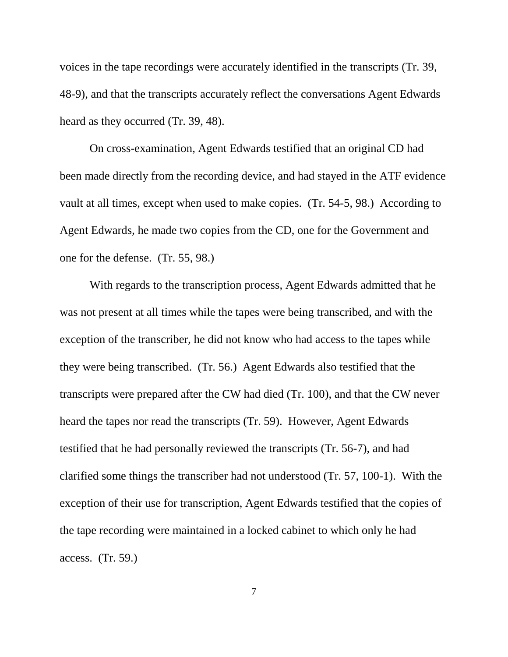voices in the tape recordings were accurately identified in the transcripts (Tr. 39, 48-9), and that the transcripts accurately reflect the conversations Agent Edwards heard as they occurred (Tr. 39, 48).

On cross-examination, Agent Edwards testified that an original CD had been made directly from the recording device, and had stayed in the ATF evidence vault at all times, except when used to make copies. (Tr. 54-5, 98.) According to Agent Edwards, he made two copies from the CD, one for the Government and one for the defense. (Tr. 55, 98.)

With regards to the transcription process, Agent Edwards admitted that he was not present at all times while the tapes were being transcribed, and with the exception of the transcriber, he did not know who had access to the tapes while they were being transcribed. (Tr. 56.) Agent Edwards also testified that the transcripts were prepared after the CW had died (Tr. 100), and that the CW never heard the tapes nor read the transcripts (Tr. 59). However, Agent Edwards testified that he had personally reviewed the transcripts (Tr. 56-7), and had clarified some things the transcriber had not understood (Tr. 57, 100-1). With the exception of their use for transcription, Agent Edwards testified that the copies of the tape recording were maintained in a locked cabinet to which only he had access. (Tr. 59.)

7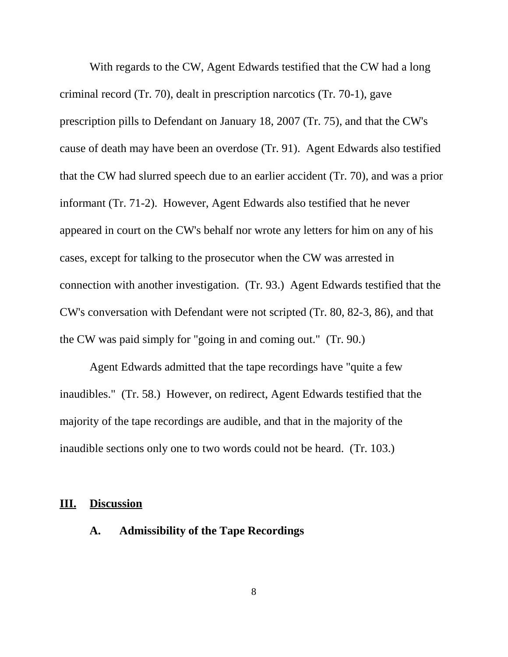With regards to the CW, Agent Edwards testified that the CW had a long criminal record (Tr. 70), dealt in prescription narcotics (Tr. 70-1), gave prescription pills to Defendant on January 18, 2007 (Tr. 75), and that the CW's cause of death may have been an overdose (Tr. 91). Agent Edwards also testified that the CW had slurred speech due to an earlier accident (Tr. 70), and was a prior informant (Tr. 71-2). However, Agent Edwards also testified that he never appeared in court on the CW's behalf nor wrote any letters for him on any of his cases, except for talking to the prosecutor when the CW was arrested in connection with another investigation. (Tr. 93.) Agent Edwards testified that the CW's conversation with Defendant were not scripted (Tr. 80, 82-3, 86), and that the CW was paid simply for "going in and coming out." (Tr. 90.)

Agent Edwards admitted that the tape recordings have "quite a few inaudibles." (Tr. 58.) However, on redirect, Agent Edwards testified that the majority of the tape recordings are audible, and that in the majority of the inaudible sections only one to two words could not be heard. (Tr. 103.)

#### **III. Discussion**

# **A. Admissibility of the Tape Recordings**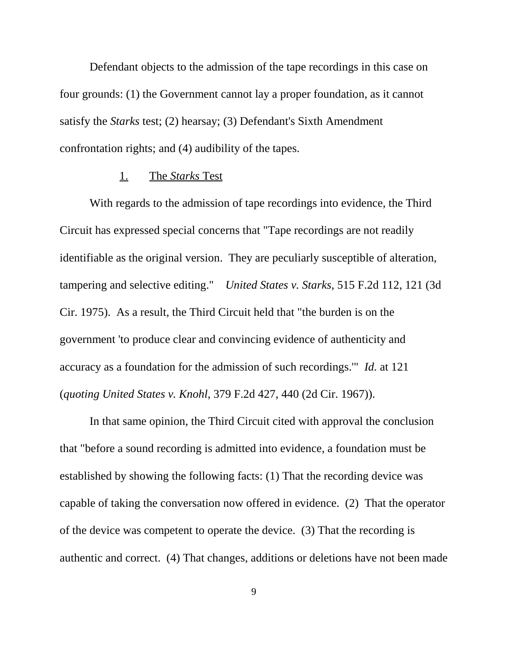Defendant objects to the admission of the tape recordings in this case on four grounds: (1) the Government cannot lay a proper foundation, as it cannot satisfy the *Starks* test; (2) hearsay; (3) Defendant's Sixth Amendment confrontation rights; and (4) audibility of the tapes.

#### 1. The *Starks* Test

With regards to the admission of tape recordings into evidence, the Third Circuit has expressed special concerns that "Tape recordings are not readily identifiable as the original version. They are peculiarly susceptible of alteration, tampering and selective editing." *United States v. Starks*, 515 F.2d 112, 121 (3d Cir. 1975). As a result, the Third Circuit held that "the burden is on the government 'to produce clear and convincing evidence of authenticity and accuracy as a foundation for the admission of such recordings.'" *Id.* at 121 (*quoting United States v. Knohl*, 379 F.2d 427, 440 (2d Cir. 1967)).

In that same opinion, the Third Circuit cited with approval the conclusion that "before a sound recording is admitted into evidence, a foundation must be established by showing the following facts: (1) That the recording device was capable of taking the conversation now offered in evidence. (2) That the operator of the device was competent to operate the device. (3) That the recording is authentic and correct. (4) That changes, additions or deletions have not been made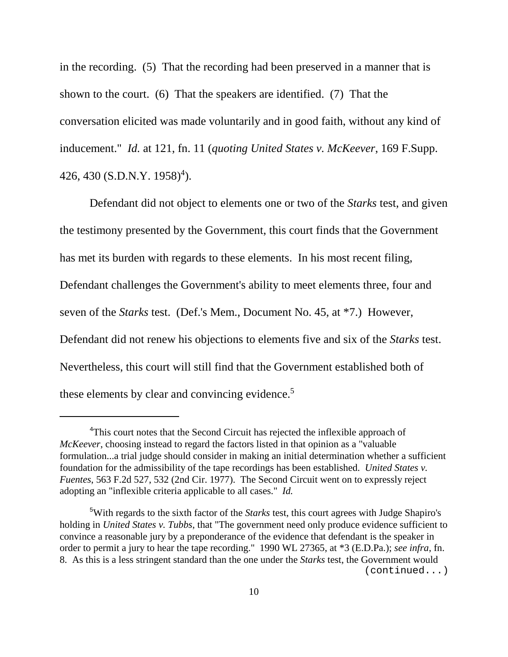in the recording. (5) That the recording had been preserved in a manner that is shown to the court. (6) That the speakers are identified. (7) That the conversation elicited was made voluntarily and in good faith, without any kind of inducement." *Id.* at 121, fn. 11 (*quoting United States v. McKeever*, 169 F.Supp. 426, 430 (S.D.N.Y. 1958)<sup>4</sup>).

Defendant did not object to elements one or two of the *Starks* test, and given the testimony presented by the Government, this court finds that the Government has met its burden with regards to these elements. In his most recent filing, Defendant challenges the Government's ability to meet elements three, four and seven of the *Starks* test. (Def.'s Mem., Document No. 45, at \*7.) However, Defendant did not renew his objections to elements five and six of the *Starks* test. Nevertheless, this court will still find that the Government established both of these elements by clear and convincing evidence.<sup>5</sup>

<sup>&</sup>lt;sup>4</sup>This court notes that the Second Circuit has rejected the inflexible approach of *McKeever*, choosing instead to regard the factors listed in that opinion as a "valuable formulation...a trial judge should consider in making an initial determination whether a sufficient foundation for the admissibility of the tape recordings has been established. *United States v. Fuentes*, 563 F.2d 527, 532 (2nd Cir. 1977). The Second Circuit went on to expressly reject adopting an "inflexible criteria applicable to all cases." *Id.*

<sup>5</sup> With regards to the sixth factor of the *Starks* test, this court agrees with Judge Shapiro's holding in *United States v. Tubbs*, that "The government need only produce evidence sufficient to convince a reasonable jury by a preponderance of the evidence that defendant is the speaker in order to permit a jury to hear the tape recording." 1990 WL 27365, at \*3 (E.D.Pa.); *see infra*, fn. 8. As this is a less stringent standard than the one under the *Starks* test, the Government would (continued...)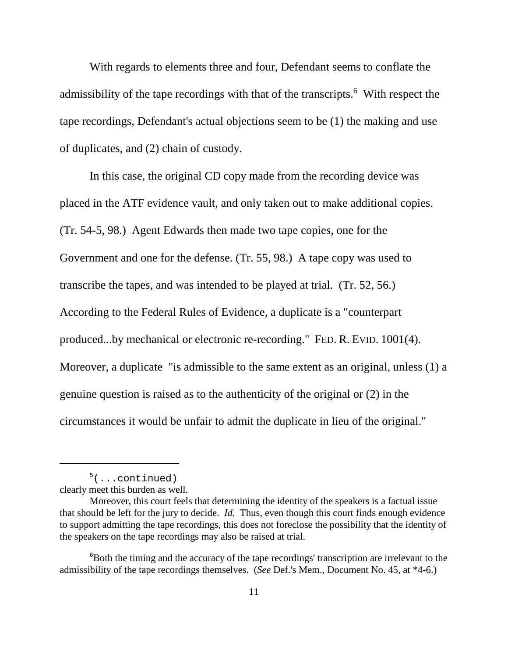With regards to elements three and four, Defendant seems to conflate the admissibility of the tape recordings with that of the transcripts.<sup>6</sup> With respect the tape recordings, Defendant's actual objections seem to be (1) the making and use of duplicates, and (2) chain of custody.

In this case, the original CD copy made from the recording device was placed in the ATF evidence vault, and only taken out to make additional copies. (Tr. 54-5, 98.) Agent Edwards then made two tape copies, one for the Government and one for the defense. (Tr. 55, 98.) A tape copy was used to transcribe the tapes, and was intended to be played at trial. (Tr. 52, 56.) According to the Federal Rules of Evidence, a duplicate is a "counterpart produced...by mechanical or electronic re-recording." FED. R. EVID. 1001(4). Moreover, a duplicate "is admissible to the same extent as an original, unless (1) a genuine question is raised as to the authenticity of the original or (2) in the circumstances it would be unfair to admit the duplicate in lieu of the original."

 $5$ (...continued)

clearly meet this burden as well.

Moreover, this court feels that determining the identity of the speakers is a factual issue that should be left for the jury to decide. *Id.* Thus, even though this court finds enough evidence to support admitting the tape recordings, this does not foreclose the possibility that the identity of the speakers on the tape recordings may also be raised at trial.

<sup>&</sup>lt;sup>6</sup>Both the timing and the accuracy of the tape recordings' transcription are irrelevant to the admissibility of the tape recordings themselves. (*See* Def.'s Mem., Document No. 45, at \*4-6.)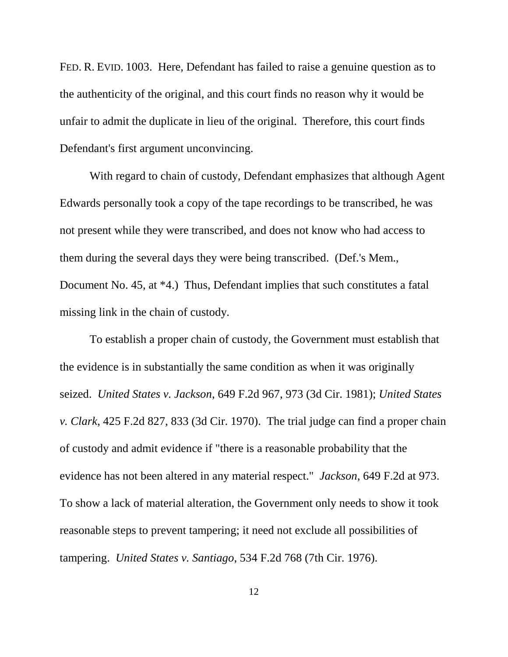FED. R. EVID. 1003. Here, Defendant has failed to raise a genuine question as to the authenticity of the original, and this court finds no reason why it would be unfair to admit the duplicate in lieu of the original. Therefore, this court finds Defendant's first argument unconvincing.

With regard to chain of custody, Defendant emphasizes that although Agent Edwards personally took a copy of the tape recordings to be transcribed, he was not present while they were transcribed, and does not know who had access to them during the several days they were being transcribed. (Def.'s Mem., Document No. 45, at \*4.) Thus, Defendant implies that such constitutes a fatal missing link in the chain of custody.

To establish a proper chain of custody, the Government must establish that the evidence is in substantially the same condition as when it was originally seized. *United States v. Jackson*, 649 F.2d 967, 973 (3d Cir. 1981); *United States v. Clark*, 425 F.2d 827, 833 (3d Cir. 1970). The trial judge can find a proper chain of custody and admit evidence if "there is a reasonable probability that the evidence has not been altered in any material respect." *Jackson*, 649 F.2d at 973. To show a lack of material alteration, the Government only needs to show it took reasonable steps to prevent tampering; it need not exclude all possibilities of tampering. *United States v. Santiago*, 534 F.2d 768 (7th Cir. 1976).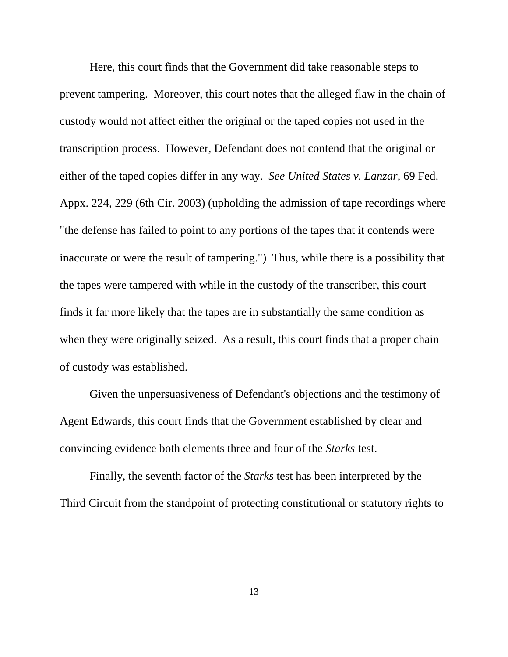Here, this court finds that the Government did take reasonable steps to prevent tampering. Moreover, this court notes that the alleged flaw in the chain of custody would not affect either the original or the taped copies not used in the transcription process. However, Defendant does not contend that the original or either of the taped copies differ in any way. *See United States v. Lanzar*, 69 Fed. Appx. 224, 229 (6th Cir. 2003) (upholding the admission of tape recordings where "the defense has failed to point to any portions of the tapes that it contends were inaccurate or were the result of tampering.") Thus, while there is a possibility that the tapes were tampered with while in the custody of the transcriber, this court finds it far more likely that the tapes are in substantially the same condition as when they were originally seized. As a result, this court finds that a proper chain of custody was established.

Given the unpersuasiveness of Defendant's objections and the testimony of Agent Edwards, this court finds that the Government established by clear and convincing evidence both elements three and four of the *Starks* test.

Finally, the seventh factor of the *Starks* test has been interpreted by the Third Circuit from the standpoint of protecting constitutional or statutory rights to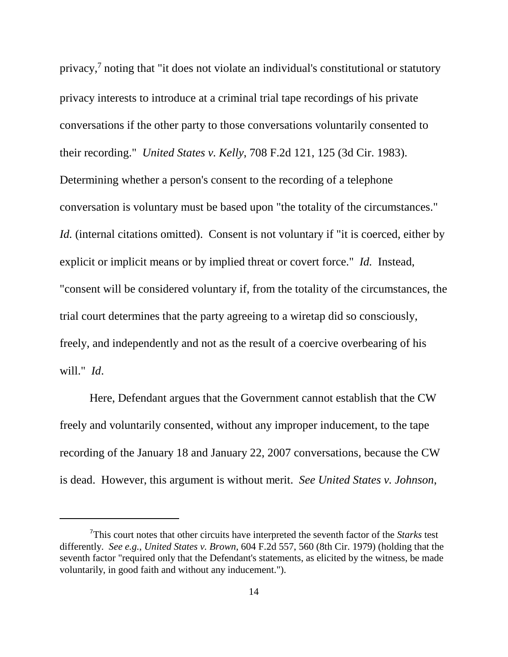privacy, <sup>7</sup> noting that "it does not violate an individual's constitutional or statutory privacy interests to introduce at a criminal trial tape recordings of his private conversations if the other party to those conversations voluntarily consented to their recording." *United States v. Kelly*, 708 F.2d 121, 125 (3d Cir. 1983). Determining whether a person's consent to the recording of a telephone conversation is voluntary must be based upon "the totality of the circumstances." *Id.* (internal citations omitted). Consent is not voluntary if "it is coerced, either by explicit or implicit means or by implied threat or covert force." *Id.* Instead, "consent will be considered voluntary if, from the totality of the circumstances, the trial court determines that the party agreeing to a wiretap did so consciously, freely, and independently and not as the result of a coercive overbearing of his will." *Id*.

Here, Defendant argues that the Government cannot establish that the CW freely and voluntarily consented, without any improper inducement, to the tape recording of the January 18 and January 22, 2007 conversations, because the CW is dead. However, this argument is without merit. *See United States v. Johnson*,

<sup>7</sup> This court notes that other circuits have interpreted the seventh factor of the *Starks* test differently. *See e.g.*, *United States v. Brown*, 604 F.2d 557, 560 (8th Cir. 1979) (holding that the seventh factor "required only that the Defendant's statements, as elicited by the witness, be made voluntarily, in good faith and without any inducement.").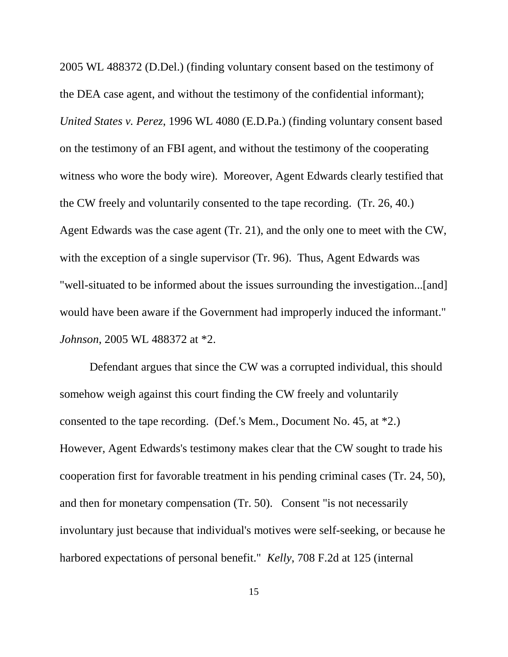2005 WL 488372 (D.Del.) (finding voluntary consent based on the testimony of the DEA case agent, and without the testimony of the confidential informant); *United States v. Perez*, 1996 WL 4080 (E.D.Pa.) (finding voluntary consent based on the testimony of an FBI agent, and without the testimony of the cooperating witness who wore the body wire). Moreover, Agent Edwards clearly testified that the CW freely and voluntarily consented to the tape recording. (Tr. 26, 40.) Agent Edwards was the case agent (Tr. 21), and the only one to meet with the CW, with the exception of a single supervisor (Tr. 96). Thus, Agent Edwards was "well-situated to be informed about the issues surrounding the investigation...[and] would have been aware if the Government had improperly induced the informant." *Johnson*, 2005 WL 488372 at \*2.

Defendant argues that since the CW was a corrupted individual, this should somehow weigh against this court finding the CW freely and voluntarily consented to the tape recording. (Def.'s Mem., Document No. 45, at \*2.) However, Agent Edwards's testimony makes clear that the CW sought to trade his cooperation first for favorable treatment in his pending criminal cases (Tr. 24, 50), and then for monetary compensation (Tr. 50). Consent "is not necessarily involuntary just because that individual's motives were self-seeking, or because he harbored expectations of personal benefit." *Kelly*, 708 F.2d at 125 (internal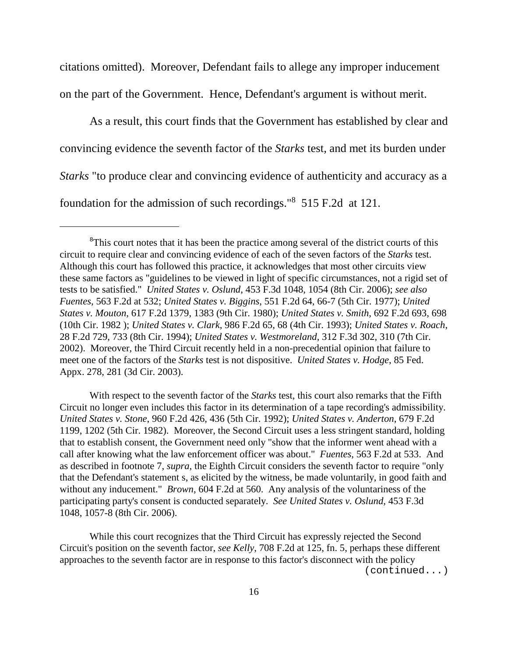citations omitted). Moreover, Defendant fails to allege any improper inducement on the part of the Government. Hence, Defendant's argument is without merit.

As a result, this court finds that the Government has established by clear and convincing evidence the seventh factor of the *Starks* test, and met its burden under *Starks* "to produce clear and convincing evidence of authenticity and accuracy as a foundation for the admission of such recordings."<sup>8</sup> 515 F.2d at 121.

With respect to the seventh factor of the *Starks* test, this court also remarks that the Fifth Circuit no longer even includes this factor in its determination of a tape recording's admissibility. *United States v. Stone*, 960 F.2d 426, 436 (5th Cir. 1992); *United States v. Anderton*, 679 F.2d 1199, 1202 (5th Cir. 1982). Moreover, the Second Circuit uses a less stringent standard, holding that to establish consent, the Government need only "show that the informer went ahead with a call after knowing what the law enforcement officer was about." *Fuentes*, 563 F.2d at 533. And as described in footnote 7, *supra*, the Eighth Circuit considers the seventh factor to require "only that the Defendant's statement s, as elicited by the witness, be made voluntarily, in good faith and without any inducement." *Brown*, 604 F.2d at 560. Any analysis of the voluntariness of the participating party's consent is conducted separately. *See United States v. Oslund*, 453 F.3d 1048, 1057-8 (8th Cir. 2006).

While this court recognizes that the Third Circuit has expressly rejected the Second Circuit's position on the seventh factor, *see Kelly*, 708 F.2d at 125, fn. 5, perhaps these different approaches to the seventh factor are in response to this factor's disconnect with the policy (continued...)

<sup>&</sup>lt;sup>8</sup>This court notes that it has been the practice among several of the district courts of this circuit to require clear and convincing evidence of each of the seven factors of the *Starks* test. Although this court has followed this practice, it acknowledges that most other circuits view these same factors as "guidelines to be viewed in light of specific circumstances, not a rigid set of tests to be satisfied." *United States v. Oslund*, 453 F.3d 1048, 1054 (8th Cir. 2006); *see also Fuentes*, 563 F.2d at 532; *United States v. Biggins*, 551 F.2d 64, 66-7 (5th Cir. 1977); *United States v. Mouton*, 617 F.2d 1379, 1383 (9th Cir. 1980); *United States v. Smith*, 692 F.2d 693, 698 (10th Cir. 1982 ); *United States v. Clark*, 986 F.2d 65, 68 (4th Cir. 1993); *United States v. Roach*, 28 F.2d 729, 733 (8th Cir. 1994); *United States v. Westmoreland*, 312 F.3d 302, 310 (7th Cir. 2002). Moreover, the Third Circuit recently held in a non-precedential opinion that failure to meet one of the factors of the *Starks* test is not dispositive. *United States v. Hodge*, 85 Fed. Appx. 278, 281 (3d Cir. 2003).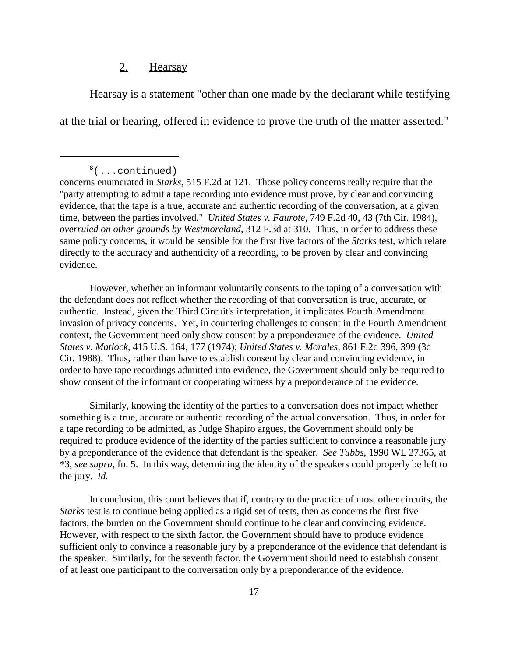### 2. Hearsay

Hearsay is a statement "other than one made by the declarant while testifying at the trial or hearing, offered in evidence to prove the truth of the matter asserted."

However, whether an informant voluntarily consents to the taping of a conversation with the defendant does not reflect whether the recording of that conversation is true, accurate, or authentic. Instead, given the Third Circuit's interpretation, it implicates Fourth Amendment invasion of privacy concerns. Yet, in countering challenges to consent in the Fourth Amendment context, the Government need only show consent by a preponderance of the evidence. *United States v. Matlock*, 415 U.S. 164, 177 (1974); *United States v. Morales*, 861 F.2d 396, 399 (3d Cir. 1988). Thus, rather than have to establish consent by clear and convincing evidence, in order to have tape recordings admitted into evidence, the Government should only be required to show consent of the informant or cooperating witness by a preponderance of the evidence.

Similarly, knowing the identity of the parties to a conversation does not impact whether something is a true, accurate or authentic recording of the actual conversation. Thus, in order for a tape recording to be admitted, as Judge Shapiro argues, the Government should only be required to produce evidence of the identity of the parties sufficient to convince a reasonable jury by a preponderance of the evidence that defendant is the speaker. *See Tubbs*, 1990 WL 27365, at \*3, *see supra*, fn. 5. In this way, determining the identity of the speakers could properly be left to the jury. *Id.*

In conclusion, this court believes that if, contrary to the practice of most other circuits, the *Starks* test is to continue being applied as a rigid set of tests, then as concerns the first five factors, the burden on the Government should continue to be clear and convincing evidence. However, with respect to the sixth factor, the Government should have to produce evidence sufficient only to convince a reasonable jury by a preponderance of the evidence that defendant is the speaker. Similarly, for the seventh factor, the Government should need to establish consent of at least one participant to the conversation only by a preponderance of the evidence.

<sup>&</sup>lt;sup>8</sup>(...continued)

concerns enumerated in *Starks*, 515 F.2d at 121. Those policy concerns really require that the "party attempting to admit a tape recording into evidence must prove, by clear and convincing evidence, that the tape is a true, accurate and authentic recording of the conversation, at a given time, between the parties involved." *United States v. Faurote*, 749 F.2d 40, 43 (7th Cir. 1984), *overruled on other grounds by Westmoreland*, 312 F.3d at 310. Thus, in order to address these same policy concerns, it would be sensible for the first five factors of the *Starks* test, which relate directly to the accuracy and authenticity of a recording, to be proven by clear and convincing evidence.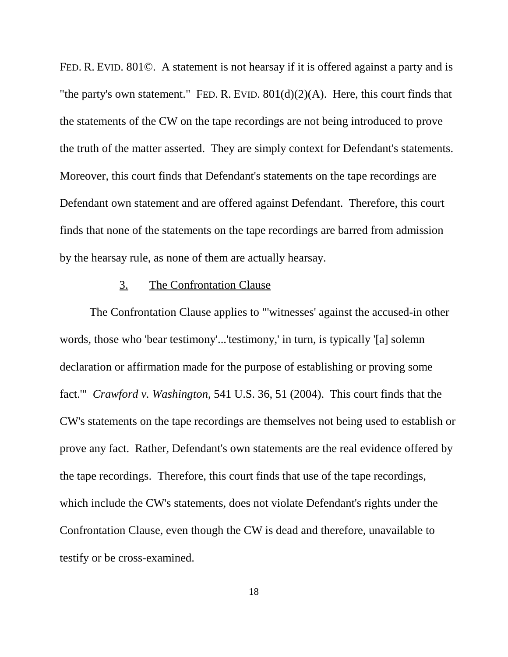FED. R. EVID. 8010. A statement is not hearsay if it is offered against a party and is "the party's own statement." FED. R. EVID.  $801(d)(2)(A)$ . Here, this court finds that the statements of the CW on the tape recordings are not being introduced to prove the truth of the matter asserted. They are simply context for Defendant's statements. Moreover, this court finds that Defendant's statements on the tape recordings are Defendant own statement and are offered against Defendant. Therefore, this court finds that none of the statements on the tape recordings are barred from admission by the hearsay rule, as none of them are actually hearsay.

#### 3. The Confrontation Clause

The Confrontation Clause applies to "'witnesses' against the accused-in other words, those who 'bear testimony'...'testimony,' in turn, is typically '[a] solemn declaration or affirmation made for the purpose of establishing or proving some fact.'" *Crawford v. Washington*, 541 U.S. 36, 51 (2004). This court finds that the CW's statements on the tape recordings are themselves not being used to establish or prove any fact. Rather, Defendant's own statements are the real evidence offered by the tape recordings. Therefore, this court finds that use of the tape recordings, which include the CW's statements, does not violate Defendant's rights under the Confrontation Clause, even though the CW is dead and therefore, unavailable to testify or be cross-examined.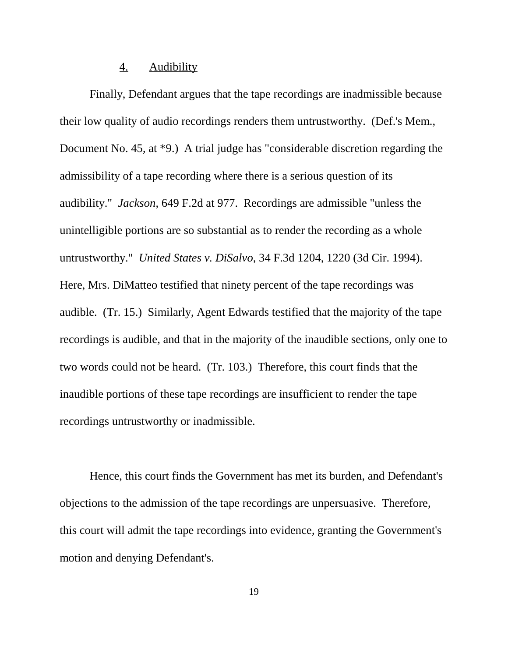#### 4. Audibility

Finally, Defendant argues that the tape recordings are inadmissible because their low quality of audio recordings renders them untrustworthy. (Def.'s Mem., Document No. 45, at \*9.) A trial judge has "considerable discretion regarding the admissibility of a tape recording where there is a serious question of its audibility." *Jackson*, 649 F.2d at 977. Recordings are admissible "unless the unintelligible portions are so substantial as to render the recording as a whole untrustworthy." *United States v. DiSalvo*, 34 F.3d 1204, 1220 (3d Cir. 1994). Here, Mrs. DiMatteo testified that ninety percent of the tape recordings was audible. (Tr. 15.) Similarly, Agent Edwards testified that the majority of the tape recordings is audible, and that in the majority of the inaudible sections, only one to two words could not be heard. (Tr. 103.) Therefore, this court finds that the inaudible portions of these tape recordings are insufficient to render the tape recordings untrustworthy or inadmissible.

Hence, this court finds the Government has met its burden, and Defendant's objections to the admission of the tape recordings are unpersuasive. Therefore, this court will admit the tape recordings into evidence, granting the Government's motion and denying Defendant's.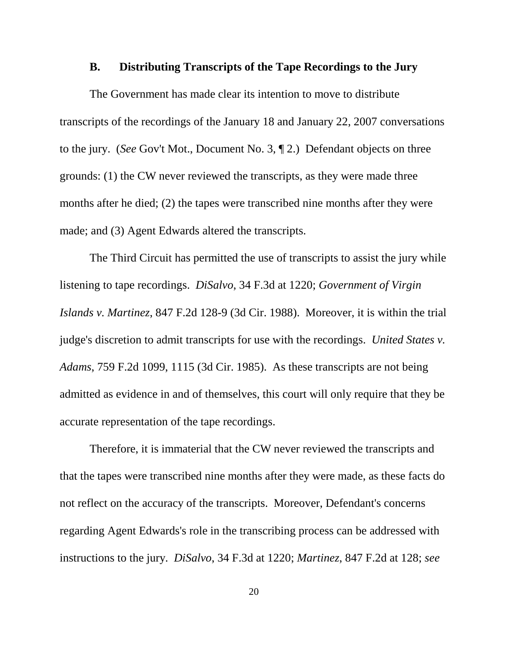#### **B. Distributing Transcripts of the Tape Recordings to the Jury**

The Government has made clear its intention to move to distribute transcripts of the recordings of the January 18 and January 22, 2007 conversations to the jury. (*See* Gov't Mot., Document No. 3, ¶ 2.) Defendant objects on three grounds: (1) the CW never reviewed the transcripts, as they were made three months after he died; (2) the tapes were transcribed nine months after they were made; and (3) Agent Edwards altered the transcripts.

The Third Circuit has permitted the use of transcripts to assist the jury while listening to tape recordings. *DiSalvo*, 34 F.3d at 1220; *Government of Virgin Islands v. Martinez*, 847 F.2d 128-9 (3d Cir. 1988). Moreover, it is within the trial judge's discretion to admit transcripts for use with the recordings. *United States v. Adams*, 759 F.2d 1099, 1115 (3d Cir. 1985). As these transcripts are not being admitted as evidence in and of themselves, this court will only require that they be accurate representation of the tape recordings.

Therefore, it is immaterial that the CW never reviewed the transcripts and that the tapes were transcribed nine months after they were made, as these facts do not reflect on the accuracy of the transcripts. Moreover, Defendant's concerns regarding Agent Edwards's role in the transcribing process can be addressed with instructions to the jury. *DiSalvo*, 34 F.3d at 1220; *Martinez*, 847 F.2d at 128; *see*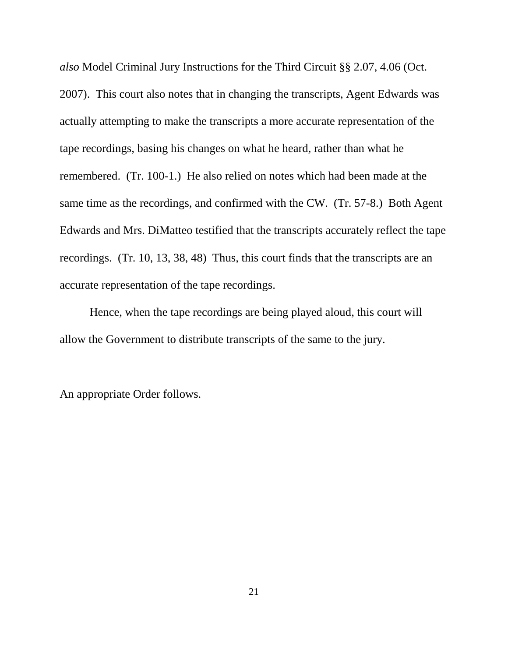*also* Model Criminal Jury Instructions for the Third Circuit §§ 2.07, 4.06 (Oct. 2007). This court also notes that in changing the transcripts, Agent Edwards was actually attempting to make the transcripts a more accurate representation of the tape recordings, basing his changes on what he heard, rather than what he remembered. (Tr. 100-1.) He also relied on notes which had been made at the same time as the recordings, and confirmed with the CW. (Tr. 57-8.) Both Agent Edwards and Mrs. DiMatteo testified that the transcripts accurately reflect the tape recordings. (Tr. 10, 13, 38, 48) Thus, this court finds that the transcripts are an accurate representation of the tape recordings.

Hence, when the tape recordings are being played aloud, this court will allow the Government to distribute transcripts of the same to the jury.

An appropriate Order follows.